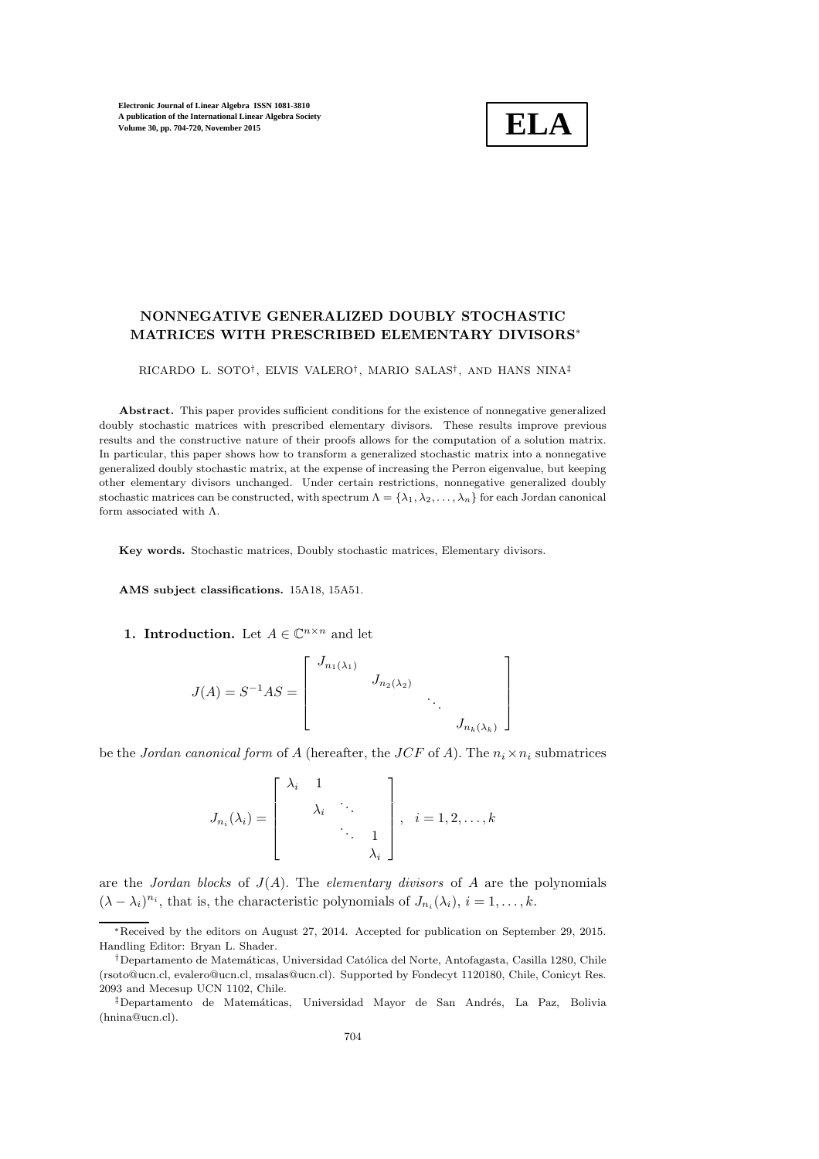

# NONNEGATIVE GENERALIZED DOUBLY STOCHASTIC MATRICES WITH PRESCRIBED ELEMENTARY DIVISORS∗

RICARDO L. SOTO† , ELVIS VALERO† , MARIO SALAS† , AND HANS NINA‡

Abstract. This paper provides sufficient conditions for the existence of nonnegative generalized doubly stochastic matrices with prescribed elementary divisors. These results improve previous results and the constructive nature of their proofs allows for the computation of a solution matrix. In particular, this paper shows how to transform a generalized stochastic matrix into a nonnegative generalized doubly stochastic matrix, at the expense of increasing the Perron eigenvalue, but keeping other elementary divisors unchanged. Under certain restrictions, nonnegative generalized doubly stochastic matrices can be constructed, with spectrum  $\Lambda = {\lambda_1, \lambda_2, \ldots, \lambda_n}$  for each Jordan canonical form associated with Λ.

Key words. Stochastic matrices, Doubly stochastic matrices, Elementary divisors.

AMS subject classifications. 15A18, 15A51.

**1. Introduction.** Let  $A \in \mathbb{C}^{n \times n}$  and let

$$
J(A) = S^{-1}AS = \begin{bmatrix} J_{n_1(\lambda_1)} & & & \\ & J_{n_2(\lambda_2)} & & \\ & & \ddots & \\ & & & J_{n_k(\lambda_k)} \end{bmatrix}
$$

be the *Jordan canonical form* of A (hereafter, the *JCF* of A). The  $n_i \times n_i$  submatrices

$$
J_{n_i}(\lambda_i) = \begin{bmatrix} \lambda_i & 1 & & \\ & \lambda_i & \ddots & \\ & & \ddots & 1 \\ & & & \lambda_i \end{bmatrix}, i = 1, 2, \dots, k
$$

are the *Jordan blocks* of  $J(A)$ . The *elementary divisors* of A are the polynomials  $(\lambda - \lambda_i)^{n_i}$ , that is, the characteristic polynomials of  $J_{n_i}(\lambda_i)$ ,  $i = 1, ..., k$ .

<sup>∗</sup>Received by the editors on August 27, 2014. Accepted for publication on September 29, 2015. Handling Editor: Bryan L. Shader.

<sup>&</sup>lt;sup>†</sup>Departamento de Matemáticas, Universidad Católica del Norte, Antofagasta, Casilla 1280, Chile (rsoto@ucn.cl, evalero@ucn.cl, msalas@ucn.cl). Supported by Fondecyt 1120180, Chile, Conicyt Res. 2093 and Mecesup UCN 1102, Chile.

<sup>&</sup>lt;sup>‡</sup>Departamento de Matemáticas, Universidad Mayor de San Andrés, La Paz, Bolivia (hnina@ucn.cl).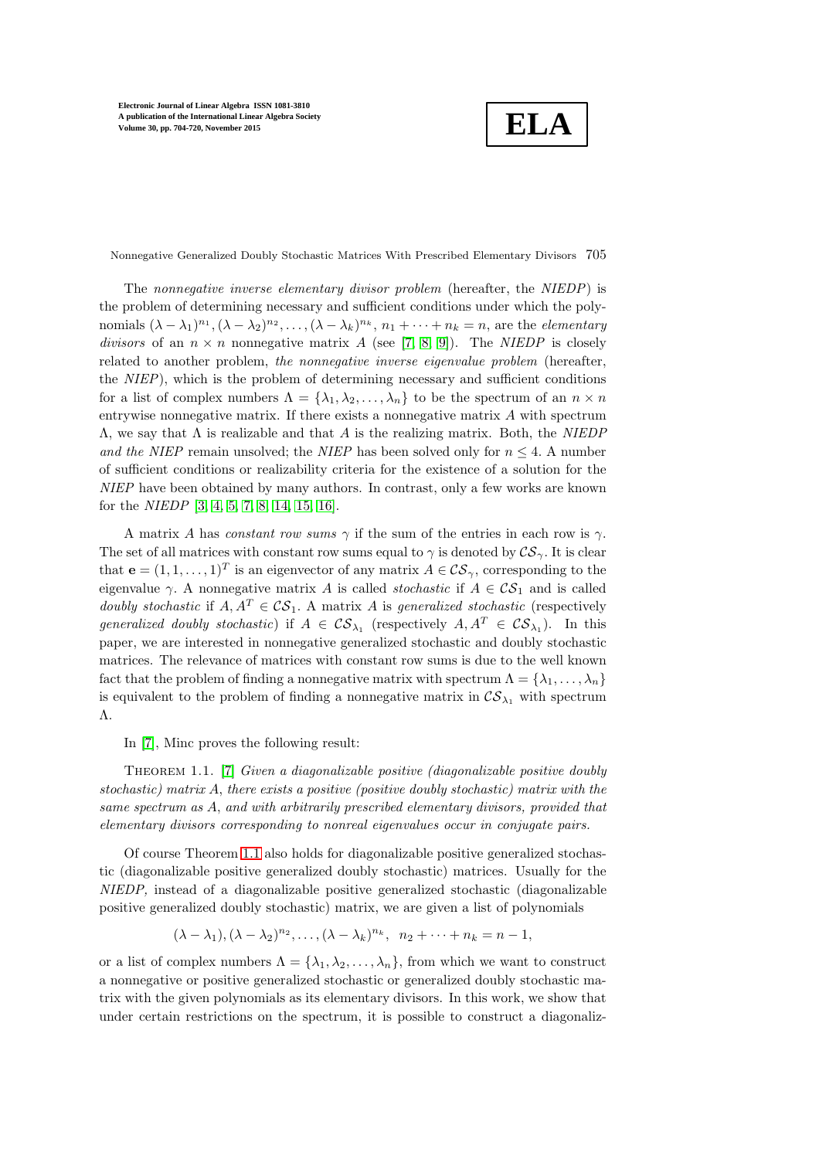**ELA**

Nonnegative Generalized Doubly Stochastic Matrices With Prescribed Elementary Divisors 705

The *nonnegative inverse elementary divisor problem* (hereafter, the *NIEDP*) is the problem of determining necessary and sufficient conditions under which the polynomials  $(\lambda - \lambda_1)^{n_1}, (\lambda - \lambda_2)^{n_2}, \ldots, (\lambda - \lambda_k)^{n_k}, n_1 + \cdots + n_k = n$ , are the *elementary divisors* of an  $n \times n$  nonnegative matrix A (see [\[7,](#page-16-0) [8,](#page-16-1) [9\]](#page-16-2)). The *NIEDP* is closely related to another problem, *the nonnegative inverse eigenvalue problem* (hereafter, the *NIEP*), which is the problem of determining necessary and sufficient conditions for a list of complex numbers  $\Lambda = {\lambda_1, \lambda_2, ..., \lambda_n}$  to be the spectrum of an  $n \times n$ entrywise nonnegative matrix. If there exists a nonnegative matrix A with spectrum Λ, we say that Λ is realizable and that A is the realizing matrix. Both, the *NIEDP and the NIEP* remain unsolved; the *NIEP* has been solved only for  $n \leq 4$ . A number of sufficient conditions or realizability criteria for the existence of a solution for the *NIEP* have been obtained by many authors. In contrast, only a few works are known for the *NIEDP* [\[3,](#page-16-3) [4,](#page-16-4) [5,](#page-16-5) [7,](#page-16-0) [8,](#page-16-1) [14,](#page-16-6) [15,](#page-16-7) [16\]](#page-16-8).

A matrix A has *constant row sums*  $\gamma$  if the sum of the entries in each row is  $\gamma$ . The set of all matrices with constant row sums equal to  $\gamma$  is denoted by  $\mathcal{CS}_{\gamma}$ . It is clear that  $\mathbf{e} = (1, 1, \dots, 1)^T$  is an eigenvector of any matrix  $A \in \mathcal{CS}_{\gamma}$ , corresponding to the eigenvalue  $\gamma$ . A nonnegative matrix A is called *stochastic* if  $A \in \mathcal{CS}_1$  and is called *doubly stochastic* if  $A, A^T \in \mathcal{CS}_1$ . A matrix A is *generalized stochastic* (respectively *generalized doubly stochastic*) if  $A \in \mathcal{CS}_{\lambda_1}$  (respectively  $A, A^T \in \mathcal{CS}_{\lambda_1}$ ). In this paper, we are interested in nonnegative generalized stochastic and doubly stochastic matrices. The relevance of matrices with constant row sums is due to the well known fact that the problem of finding a nonnegative matrix with spectrum  $\Lambda = {\lambda_1, \ldots, \lambda_n}$ is equivalent to the problem of finding a nonnegative matrix in  $\mathcal{CS}_{\lambda_1}$  with spectrum Λ.

<span id="page-1-0"></span>In [\[7\]](#page-16-0), Minc proves the following result:

Theorem 1.1. [\[7\]](#page-16-0) *Given a diagonalizable positive (diagonalizable positive doubly stochastic) matrix* A, *there exists a positive (positive doubly stochastic) matrix with the same spectrum as* A, *and with arbitrarily prescribed elementary divisors, provided that elementary divisors corresponding to nonreal eigenvalues occur in conjugate pairs.*

Of course Theorem [1.1](#page-1-0) also holds for diagonalizable positive generalized stochastic (diagonalizable positive generalized doubly stochastic) matrices. Usually for the *NIEDP,* instead of a diagonalizable positive generalized stochastic (diagonalizable positive generalized doubly stochastic) matrix, we are given a list of polynomials

$$
(\lambda - \lambda_1), (\lambda - \lambda_2)^{n_2}, \dots, (\lambda - \lambda_k)^{n_k}, n_2 + \dots + n_k = n - 1,
$$

or a list of complex numbers  $\Lambda = {\lambda_1, \lambda_2, ..., \lambda_n}$ , from which we want to construct a nonnegative or positive generalized stochastic or generalized doubly stochastic matrix with the given polynomials as its elementary divisors. In this work, we show that under certain restrictions on the spectrum, it is possible to construct a diagonaliz-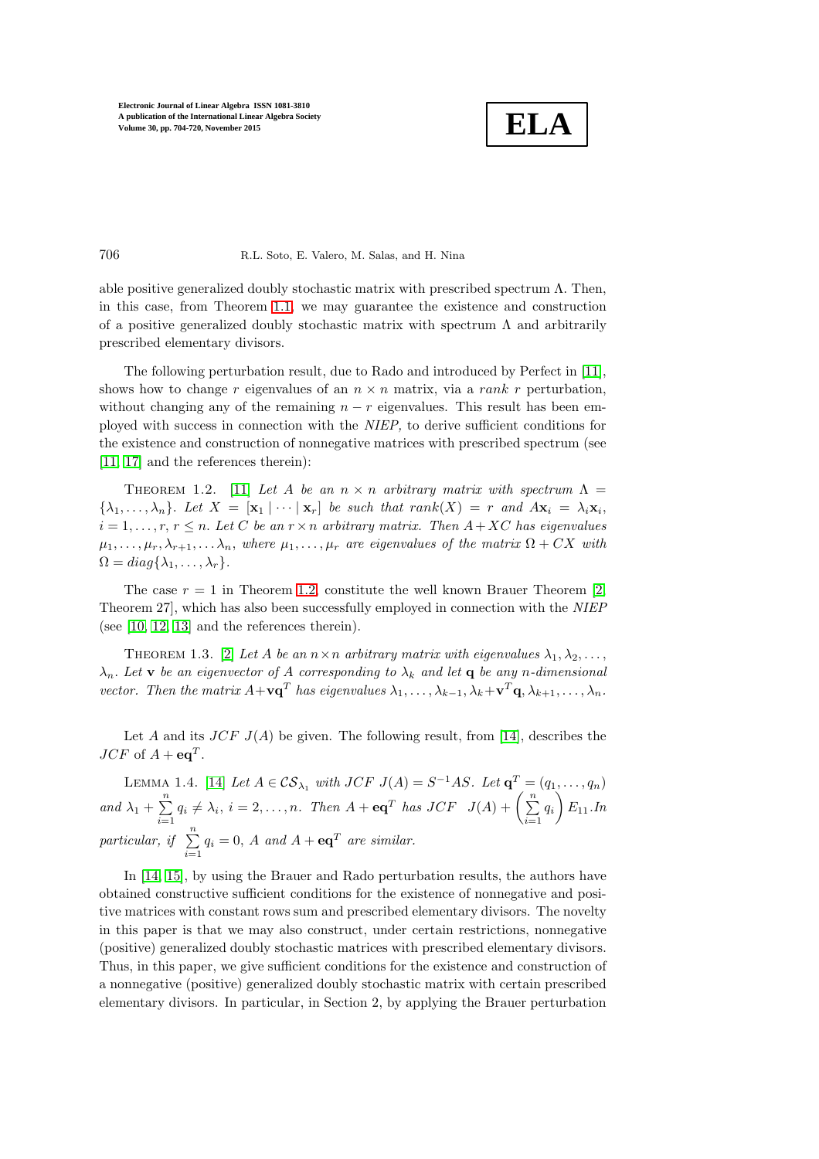

### 706 R.L. Soto, E. Valero, M. Salas, and H. Nina

able positive generalized doubly stochastic matrix with prescribed spectrum  $\Lambda$ . Then, in this case, from Theorem [1.1,](#page-1-0) we may guarantee the existence and construction of a positive generalized doubly stochastic matrix with spectrum  $\Lambda$  and arbitrarily prescribed elementary divisors.

The following perturbation result, due to Rado and introduced by Perfect in [\[11\]](#page-16-9), shows how to change r eigenvalues of an  $n \times n$  matrix, via a rank r perturbation, without changing any of the remaining  $n - r$  eigenvalues. This result has been employed with success in connection with the *NIEP,* to derive sufficient conditions for the existence and construction of nonnegative matrices with prescribed spectrum (see [\[11,](#page-16-9) [17\]](#page-16-10) and the references therein):

<span id="page-2-0"></span>THEOREM 1.2. [\[11\]](#page-16-9) Let A be an  $n \times n$  arbitrary matrix with spectrum  $\Lambda =$  $\{\lambda_1, \ldots, \lambda_n\}$ . Let  $X = [\mathbf{x}_1 | \cdots | \mathbf{x}_r]$  be such that  $rank(X) = r$  and  $A\mathbf{x}_i = \lambda_i \mathbf{x}_i$ ,  $i = 1, \ldots, r, r \leq n$ . Let C be an  $r \times n$  arbitrary matrix. Then  $A + XC$  has eigenvalues  $\mu_1, \ldots, \mu_r, \lambda_{r+1}, \ldots, \lambda_n$ , where  $\mu_1, \ldots, \mu_r$  are eigenvalues of the matrix  $\Omega + CX$  with  $\Omega = diag\{\lambda_1, \ldots, \lambda_r\}.$ 

The case  $r = 1$  in Theorem [1.2,](#page-2-0) constitute the well known Brauer Theorem [\[2,](#page-16-11) Theorem 27], which has also been successfully employed in connection with the *NIEP* (see [\[10,](#page-16-12) [12,](#page-16-13) [13\]](#page-16-14) and the references therein).

<span id="page-2-1"></span>THEOREM 1.3. [\[2\]](#page-16-11) Let A be an  $n \times n$  arbitrary matrix with eigenvalues  $\lambda_1, \lambda_2, \ldots,$  $\lambda_n$ . Let **v** be an eigenvector of A corresponding to  $\lambda_k$  and let **q** be any *n*-dimensional *vector.* Then the matrix  $A + \mathbf{v} \mathbf{q}^T$  has eigenvalues  $\lambda_1, \ldots, \lambda_{k-1}, \lambda_k + \mathbf{v}^T \mathbf{q}, \lambda_{k+1}, \ldots, \lambda_n$ .

<span id="page-2-2"></span>Let A and its  $JCF$   $J(A)$  be given. The following result, from [\[14\]](#page-16-6), describes the  $JCF$  of  $A + \mathbf{eq}^T$ .

LEMMA 1.4. [\[14\]](#page-16-6) *Let*  $A \in \mathcal{CS}_{\lambda_1}$  *with*  $JCF$   $J(A) = S^{-1}AS$ . Let  $\mathbf{q}^T = (q_1, \ldots, q_n)$ *and*  $\lambda_1 + \sum^n$  $\sum_{i=1}^{n} q_i \neq \lambda_i, i = 2, \ldots, n$ . Then  $A + \mathbf{eq}^T$  has  $JCF$   $J(A) + \left(\sum_{i=1}^{n} q_i \neq \lambda_i\right)$  $\sum_{i=1} q_i$  $\overline{\phantom{0}}$ E11*.In particular, if*  $\sum_{n=1}^{\infty}$  $\sum_{i=1} q_i = 0$ , A and  $A + \mathbf{eq}^T$  are similar.

In [\[14,](#page-16-6) [15\]](#page-16-7), by using the Brauer and Rado perturbation results, the authors have obtained constructive sufficient conditions for the existence of nonnegative and positive matrices with constant rows sum and prescribed elementary divisors. The novelty in this paper is that we may also construct, under certain restrictions, nonnegative (positive) generalized doubly stochastic matrices with prescribed elementary divisors. Thus, in this paper, we give sufficient conditions for the existence and construction of a nonnegative (positive) generalized doubly stochastic matrix with certain prescribed elementary divisors. In particular, in Section 2, by applying the Brauer perturbation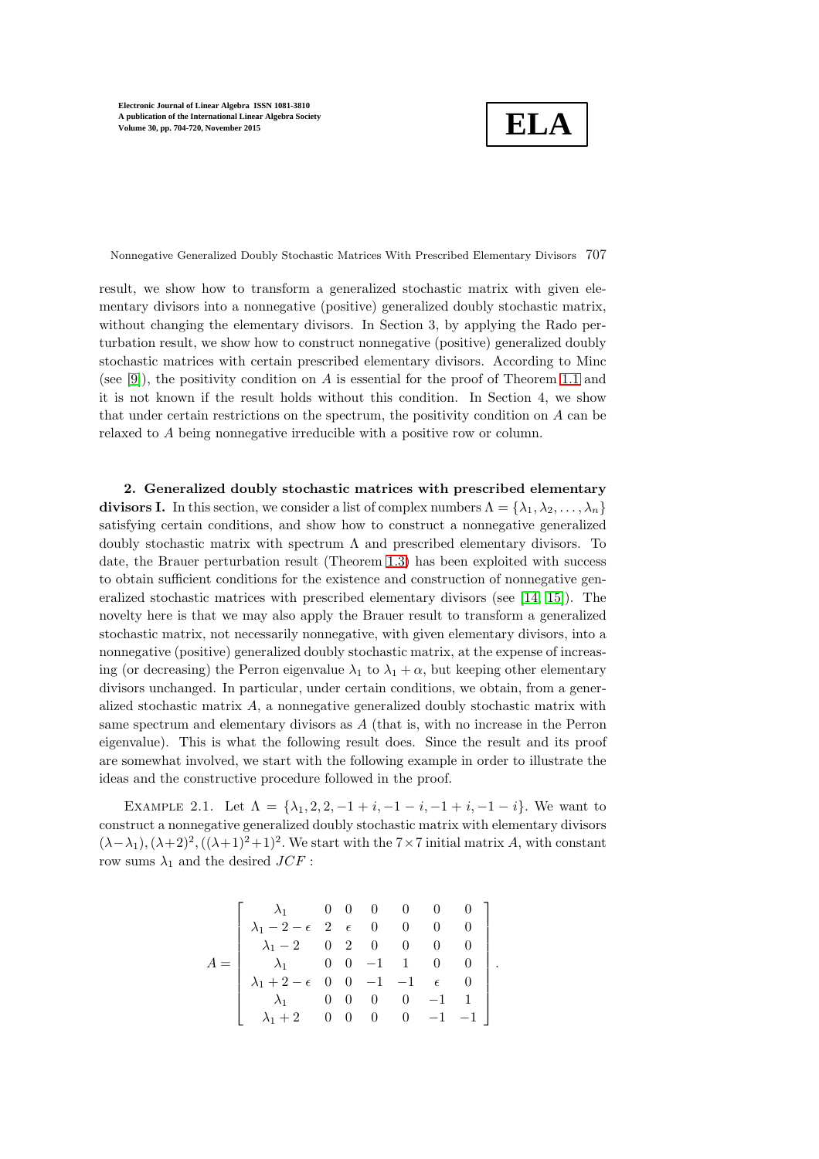**ELA**

Nonnegative Generalized Doubly Stochastic Matrices With Prescribed Elementary Divisors 707

result, we show how to transform a generalized stochastic matrix with given elementary divisors into a nonnegative (positive) generalized doubly stochastic matrix, without changing the elementary divisors. In Section 3, by applying the Rado perturbation result, we show how to construct nonnegative (positive) generalized doubly stochastic matrices with certain prescribed elementary divisors. According to Minc (see [\[9\]](#page-16-2)), the positivity condition on A is essential for the proof of Theorem [1.1](#page-1-0) and it is not known if the result holds without this condition. In Section 4, we show that under certain restrictions on the spectrum, the positivity condition on A can be relaxed to A being nonnegative irreducible with a positive row or column.

2. Generalized doubly stochastic matrices with prescribed elementary divisors I. In this section, we consider a list of complex numbers  $\Lambda = {\lambda_1, \lambda_2, ..., \lambda_n}$ satisfying certain conditions, and show how to construct a nonnegative generalized doubly stochastic matrix with spectrum  $\Lambda$  and prescribed elementary divisors. To date, the Brauer perturbation result (Theorem [1.3\)](#page-2-1) has been exploited with success to obtain sufficient conditions for the existence and construction of nonnegative generalized stochastic matrices with prescribed elementary divisors (see [\[14,](#page-16-6) [15\]](#page-16-7)). The novelty here is that we may also apply the Brauer result to transform a generalized stochastic matrix, not necessarily nonnegative, with given elementary divisors, into a nonnegative (positive) generalized doubly stochastic matrix, at the expense of increasing (or decreasing) the Perron eigenvalue  $\lambda_1$  to  $\lambda_1 + \alpha$ , but keeping other elementary divisors unchanged. In particular, under certain conditions, we obtain, from a generalized stochastic matrix A, a nonnegative generalized doubly stochastic matrix with same spectrum and elementary divisors as A (that is, with no increase in the Perron eigenvalue). This is what the following result does. Since the result and its proof are somewhat involved, we start with the following example in order to illustrate the ideas and the constructive procedure followed in the proof.

EXAMPLE 2.1. Let  $\Lambda = {\lambda_1, 2, 2, -1 + i, -1 - i, -1 + i, -1 - i}$ . We want to construct a nonnegative generalized doubly stochastic matrix with elementary divisors  $(\lambda - \lambda_1), (\lambda + 2)^2, ((\lambda + 1)^2 + 1)^2$ . We start with the 7 × 7 initial matrix A, with constant row sums  $\lambda_1$  and the desired  $JCF$ :

$$
A = \begin{bmatrix} \lambda_1 & 0 & 0 & 0 & 0 & 0 & 0 \\ \lambda_1 - 2 - \epsilon & 2 & \epsilon & 0 & 0 & 0 & 0 \\ \lambda_1 - 2 & 0 & 2 & 0 & 0 & 0 & 0 \\ \lambda_1 & 0 & 0 & -1 & 1 & 0 & 0 \\ \lambda_1 + 2 - \epsilon & 0 & 0 & -1 & -1 & \epsilon & 0 \\ \lambda_1 & 0 & 0 & 0 & 0 & -1 & 1 \\ \lambda_1 + 2 & 0 & 0 & 0 & 0 & -1 & -1 \end{bmatrix}
$$

.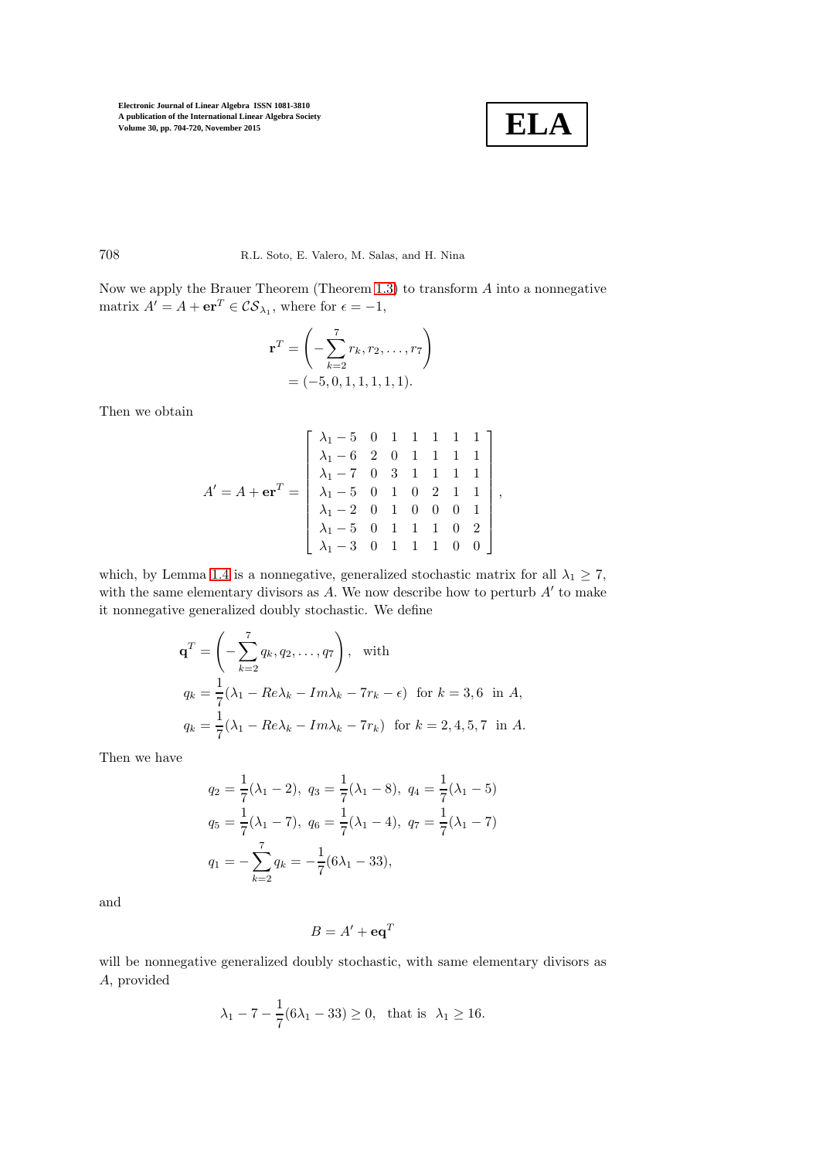

### 708 R.L. Soto, E. Valero, M. Salas, and H. Nina

Now we apply the Brauer Theorem (Theorem [1.3\)](#page-2-1) to transform A into a nonnegative matrix  $A' = A + \mathbf{er}^T \in \mathcal{CS}_{\lambda_1}$ , where for  $\epsilon = -1$ ,

$$
\mathbf{r}^T = \left( -\sum_{k=2}^7 r_k, r_2, \dots, r_7 \right)
$$
  
= (-5, 0, 1, 1, 1, 1, 1).

Then we obtain

$$
A' = A + \mathbf{e} \mathbf{r}^T = \begin{bmatrix} \lambda_1 - 5 & 0 & 1 & 1 & 1 & 1 & 1 \\ \lambda_1 - 6 & 2 & 0 & 1 & 1 & 1 & 1 \\ \lambda_1 - 7 & 0 & 3 & 1 & 1 & 1 & 1 \\ \lambda_1 - 5 & 0 & 1 & 0 & 2 & 1 & 1 \\ \lambda_1 - 2 & 0 & 1 & 0 & 0 & 0 & 1 \\ \lambda_1 - 5 & 0 & 1 & 1 & 1 & 0 & 2 \\ \lambda_1 - 3 & 0 & 1 & 1 & 1 & 0 & 0 \end{bmatrix},
$$

which, by Lemma [1.4](#page-2-2) is a nonnegative, generalized stochastic matrix for all  $\lambda_1 \ge 7$ , with the same elementary divisors as A. We now describe how to perturb  $A'$  to make it nonnegative generalized doubly stochastic. We define

$$
\mathbf{q}^T = \left(-\sum_{k=2}^7 q_k, q_2, \dots, q_7\right), \text{ with}
$$
  
\n
$$
q_k = \frac{1}{7}(\lambda_1 - Re\lambda_k - Im\lambda_k - 7r_k - \epsilon) \text{ for } k = 3, 6 \text{ in } A,
$$
  
\n
$$
q_k = \frac{1}{7}(\lambda_1 - Re\lambda_k - Im\lambda_k - 7r_k) \text{ for } k = 2, 4, 5, 7 \text{ in } A.
$$

Then we have

$$
q_2 = \frac{1}{7}(\lambda_1 - 2), \ q_3 = \frac{1}{7}(\lambda_1 - 8), \ q_4 = \frac{1}{7}(\lambda_1 - 5)
$$
  

$$
q_5 = \frac{1}{7}(\lambda_1 - 7), \ q_6 = \frac{1}{7}(\lambda_1 - 4), \ q_7 = \frac{1}{7}(\lambda_1 - 7)
$$
  

$$
q_1 = -\sum_{k=2}^7 q_k = -\frac{1}{7}(6\lambda_1 - 33),
$$

and

$$
B = A' + \mathbf{e}\mathbf{q}^T
$$

will be nonnegative generalized doubly stochastic, with same elementary divisors as A, provided

$$
\lambda_1 - 7 - \frac{1}{7}(6\lambda_1 - 33) \ge 0
$$
, that is  $\lambda_1 \ge 16$ .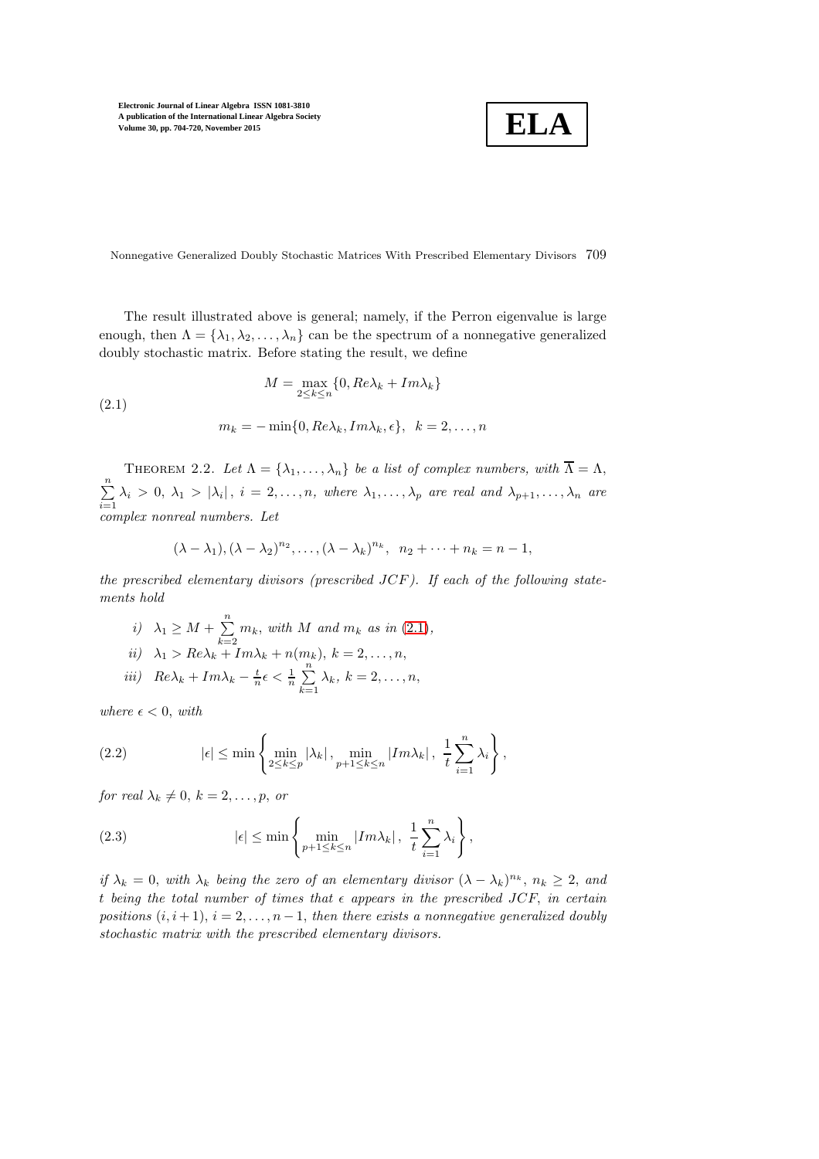$$
\boxed{\textbf{ELA}}
$$

Nonnegative Generalized Doubly Stochastic Matrices With Prescribed Elementary Divisors 709

The result illustrated above is general; namely, if the Perron eigenvalue is large enough, then  $\Lambda = {\lambda_1, \lambda_2, \ldots, \lambda_n}$  can be the spectrum of a nonnegative generalized doubly stochastic matrix. Before stating the result, we define

<span id="page-5-0"></span>(2.1)  
\n
$$
M = \max_{2 \le k \le n} \{0, Re\lambda_k + Im\lambda_k\}
$$
\n
$$
m_k = -\min\{0, Re\lambda_k, Im\lambda_k, \epsilon\}, \quad k = 2, \dots, n
$$

<span id="page-5-3"></span>THEOREM 2.2. Let  $\Lambda = {\lambda_1, ..., \lambda_n}$  be a list of complex numbers, with  $\overline{\Lambda} = \Lambda$ ,  $\sum_{n=1}^{\infty}$  $\sum_{i=1} \lambda_i > 0, \lambda_1 > |\lambda_i|, i = 2, \ldots, n,$  where  $\lambda_1, \ldots, \lambda_p$  are real and  $\lambda_{p+1}, \ldots, \lambda_n$  are *complex nonreal numbers. Let*

$$
(\lambda - \lambda_1), (\lambda - \lambda_2)^{n_2}, \dots, (\lambda - \lambda_k)^{n_k}, n_2 + \dots + n_k = n - 1,
$$

*the prescribed elementary divisors (prescribed* JCF*). If each of the following statements hold*

*i*)  $\lambda_1 \geq M + \sum_{n=1}^{\infty}$  $\sum_{k=2}$   $m_k$ , with M and  $m_k$  as in [\(2.1\)](#page-5-0),  $ii)$   $\lambda_1 > Re\lambda_k + Im\lambda_k + n(m_k), k = 2, \ldots, n,$ *iii*)  $Re\lambda_k + Im\lambda_k - \frac{t}{n}\epsilon < \frac{1}{n}\sum_{k=1}^{n}$  $\sum_{k=1} \lambda_k, k = 2, \ldots, n,$ 

*where*  $\epsilon$  < 0, *with* 

<span id="page-5-1"></span>(2.2) 
$$
|\epsilon| \leq \min\left\{\min_{2\leq k\leq p}|\lambda_k|, \min_{p+1\leq k\leq n}|Im\lambda_k|, \frac{1}{t}\sum_{i=1}^n\lambda_i\right\},\
$$

*for real*  $\lambda_k \neq 0, k = 2, \ldots, p$ , *or* 

<span id="page-5-2"></span>(2.3) 
$$
|\epsilon| \leq \min \left\{ \min_{p+1 \leq k \leq n} |Im \lambda_k|, \frac{1}{t} \sum_{i=1}^n \lambda_i \right\},
$$

*if*  $\lambda_k = 0$ , *with*  $\lambda_k$  *being the zero of an elementary divisor*  $(\lambda - \lambda_k)^{n_k}$ ,  $n_k \geq 2$ , *and* t being the total number of times that  $\epsilon$  appears in the prescribed JCF, in certain *positions*  $(i, i + 1)$ ,  $i = 2, \ldots, n - 1$ , *then there exists a nonnegative generalized doubly stochastic matrix with the prescribed elementary divisors.*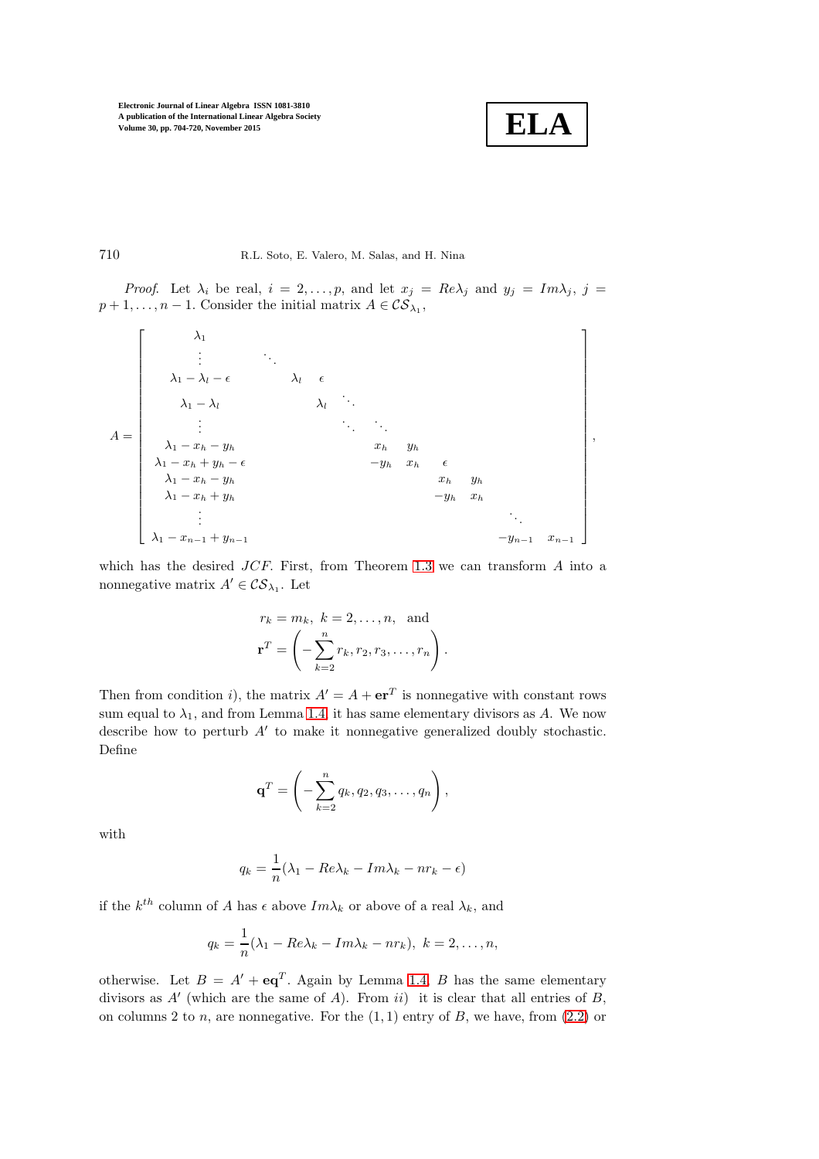

710 R.L. Soto, E. Valero, M. Salas, and H. Nina

*Proof.* Let  $\lambda_i$  be real,  $i = 2, ..., p$ , and let  $x_j = Re\lambda_j$  and  $y_j = Im\lambda_j$ ,  $j =$  $p+1, \ldots, n-1$ . Consider the initial matrix  $A \in \mathcal{CS}_{\lambda_1}$ ,

$$
A = \begin{bmatrix} \lambda_1 \\ \vdots \\ \lambda_1 - \lambda_l - \epsilon \\ \lambda_1 - \lambda_l \\ \vdots \\ \lambda_1 - x_h - y_h \\ \lambda_1 - x_h + y_h - \epsilon \\ \lambda_1 - x_h + y_h \\ \lambda_1 - x_h + y_h \\ \vdots \\ \lambda_1 - x_h + y_h \\ \vdots \\ \lambda_1 - x_{n-1} + y_{n-1} \end{bmatrix},
$$

which has the desired  $JCF$ . First, from Theorem [1.3](#page-2-1) we can transform  $A$  into a nonnegative matrix  $A' \in \mathcal{CS}_{\lambda_1}$ . Let

$$
r_k = m_k, \ k = 2, \dots, n, \text{ and}
$$

$$
\mathbf{r}^T = \left( -\sum_{k=2}^n r_k, r_2, r_3, \dots, r_n \right).
$$

Then from condition *i*), the matrix  $A' = A + \mathbf{er}^T$  is nonnegative with constant rows sum equal to  $\lambda_1$ , and from Lemma [1.4,](#page-2-2) it has same elementary divisors as A. We now describe how to perturb A′ to make it nonnegative generalized doubly stochastic. Define

$$
\mathbf{q}^T = \left(-\sum_{k=2}^n q_k, q_2, q_3, \ldots, q_n\right),\,
$$

with

$$
q_k = \frac{1}{n}(\lambda_1 - Re\lambda_k - Im\lambda_k - nr_k - \epsilon)
$$

if the  $k^{th}$  column of A has  $\epsilon$  above  $Im\lambda_k$  or above of a real  $\lambda_k$ , and

$$
q_k = \frac{1}{n}(\lambda_1 - Re\lambda_k - Im\lambda_k - nr_k), \ k = 2, \dots, n,
$$

otherwise. Let  $B = A' + \mathbf{e} \mathbf{q}^T$ . Again by Lemma [1.4,](#page-2-2) B has the same elementary divisors as  $A'$  (which are the same of A). From ii) it is clear that all entries of B, on columns 2 to n, are nonnegative. For the  $(1, 1)$  entry of B, we have, from  $(2.2)$  or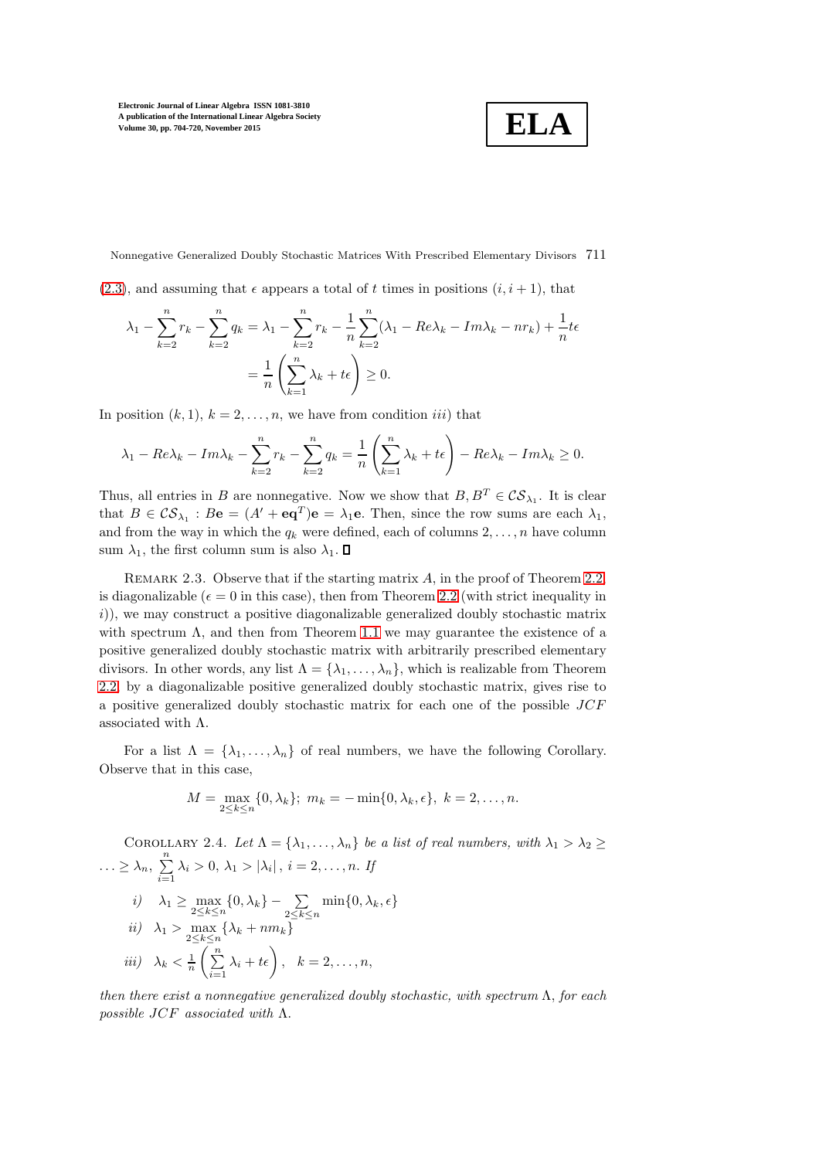$$
\boxed{\textbf{ELA}}
$$

Nonnegative Generalized Doubly Stochastic Matrices With Prescribed Elementary Divisors 711

 $(2.3)$ , and assuming that  $\epsilon$  appears a total of t times in positions  $(i, i + 1)$ , that

$$
\lambda_1 - \sum_{k=2}^n r_k - \sum_{k=2}^n q_k = \lambda_1 - \sum_{k=2}^n r_k - \frac{1}{n} \sum_{k=2}^n (\lambda_1 - Re\lambda_k - Im\lambda_k - nr_k) + \frac{1}{n} t \epsilon
$$
  
= 
$$
\frac{1}{n} \left( \sum_{k=1}^n \lambda_k + t \epsilon \right) \ge 0.
$$

In position  $(k, 1)$ ,  $k = 2, \ldots, n$ , we have from condition *iii*) that

$$
\lambda_1 - Re\lambda_k - Im\lambda_k - \sum_{k=2}^n r_k - \sum_{k=2}^n q_k = \frac{1}{n} \left( \sum_{k=1}^n \lambda_k + t\epsilon \right) - Re\lambda_k - Im\lambda_k \ge 0.
$$

Thus, all entries in B are nonnegative. Now we show that  $B, B^T \in \mathcal{CS}_{\lambda_1}$ . It is clear that  $B \in \mathcal{CS}_{\lambda_1}$ :  $B\mathbf{e} = (A' + \mathbf{e}\mathbf{q}^T)\mathbf{e} = \lambda_1 \mathbf{e}$ . Then, since the row sums are each  $\lambda_1$ , and from the way in which the  $q_k$  were defined, each of columns  $2, \ldots, n$  have column sum  $\lambda_1$ , the first column sum is also  $\lambda_1$ .  $\Box$ 

REMARK 2.3. Observe that if the starting matrix  $A$ , in the proof of Theorem [2.2,](#page-5-3) is diagonalizable ( $\epsilon = 0$  in this case), then from Theorem [2.2](#page-5-3) (with strict inequality in i)), we may construct a positive diagonalizable generalized doubly stochastic matrix with spectrum  $\Lambda$ , and then from Theorem [1.1](#page-1-0) we may guarantee the existence of a positive generalized doubly stochastic matrix with arbitrarily prescribed elementary divisors. In other words, any list  $\Lambda = {\lambda_1, ..., \lambda_n}$ , which is realizable from Theorem [2.2,](#page-5-3) by a diagonalizable positive generalized doubly stochastic matrix, gives rise to a positive generalized doubly stochastic matrix for each one of the possible JCF associated with  $\Lambda$ .

For a list  $\Lambda = {\lambda_1, ..., \lambda_n}$  of real numbers, we have the following Corollary. Observe that in this case,

$$
M = \max_{2 \le k \le n} \{0, \lambda_k\}; \ m_k = -\min\{0, \lambda_k, \epsilon\}, \ k = 2, \dots, n.
$$

COROLLARY 2.4. Let  $\Lambda = {\lambda_1, \ldots, \lambda_n}$  be a list of real numbers, with  $\lambda_1 > \lambda_2 \geq$  $\ldots \geq \lambda_n, \sum_{i=1}^n$  $\sum_{i=1} \lambda_i > 0, \, \lambda_1 > |\lambda_i|, \, i = 2, \dots, n.$  If *i*)  $\lambda_1 \ge \max_{2 \le k \le n} \{0, \lambda_k\} - \sum_{2 \le k \le n} \min\{0, \lambda_k, \epsilon\}$ *ii*)  $\lambda_1 > \max_{2 \le k \le n} {\lambda_k + nm_k}$ *iii*)  $\lambda_k < \frac{1}{n} \left( \sum_{i=1}^n \right)$  $\sum_{i=1}^n \lambda_i + t\epsilon\bigg), \quad k = 2, \ldots, n,$ 

*then there exist a nonnegative generalized doubly stochastic, with spectrum* Λ, *for each possible* JCF *associated with* Λ.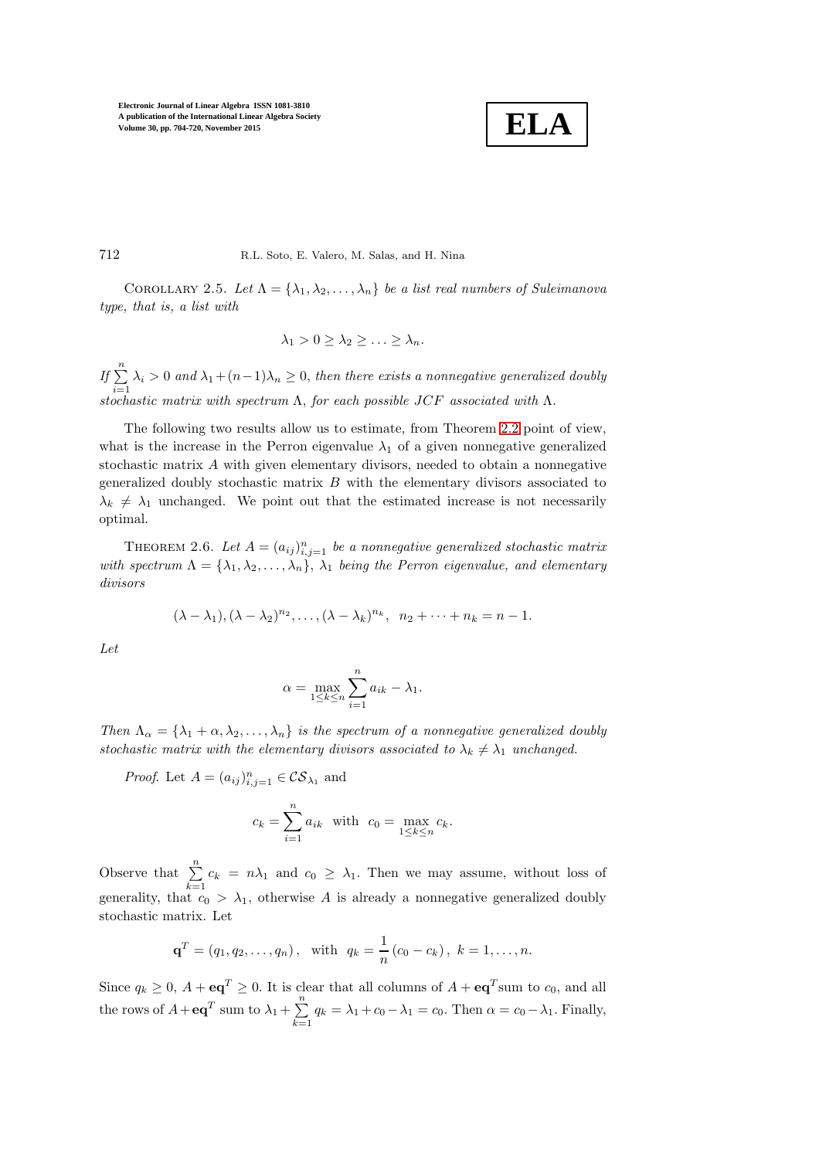

712 R.L. Soto, E. Valero, M. Salas, and H. Nina

COROLLARY 2.5. Let  $\Lambda = {\lambda_1, \lambda_2, ..., \lambda_n}$  be a list real numbers of Suleimanova *type, that is, a list with*

$$
\lambda_1 > 0 \geq \lambda_2 \geq \ldots \geq \lambda_n.
$$

*If*  $\sum_{n=1}^{\infty}$  $\sum_{i=1} \lambda_i > 0$  and  $\lambda_1 + (n-1)\lambda_n \geq 0$ , then there exists a nonnegative generalized doubly *stochastic matrix with spectrum* Λ, *for each possible* JCF *associated with* Λ.

The following two results allow us to estimate, from Theorem [2.2](#page-5-3) point of view, what is the increase in the Perron eigenvalue  $\lambda_1$  of a given nonnegative generalized stochastic matrix  $A$  with given elementary divisors, needed to obtain a nonnegative generalized doubly stochastic matrix  $B$  with the elementary divisors associated to  $\lambda_k \neq \lambda_1$  unchanged. We point out that the estimated increase is not necessarily optimal.

THEOREM 2.6. Let  $A = (a_{ij})_{i,j=1}^n$  be a nonnegative generalized stochastic matrix *with spectrum*  $\Lambda = {\lambda_1, \lambda_2, ..., \lambda_n}, \lambda_1$  *being the Perron eigenvalue, and elementary divisors*

$$
(\lambda - \lambda_1), (\lambda - \lambda_2)^{n_2}, \dots, (\lambda - \lambda_k)^{n_k}, n_2 + \dots + n_k = n - 1.
$$

*Let*

$$
\alpha = \max_{1 \le k \le n} \sum_{i=1}^n a_{ik} - \lambda_1.
$$

*Then*  $\Lambda_{\alpha} = {\lambda_1 + \alpha, \lambda_2, ..., \lambda_n}$  *is the spectrum of a nonnegative generalized doubly stochastic matrix with the elementary divisors associated to*  $\lambda_k \neq \lambda_1$  *unchanged.* 

*Proof.* Let  $A = (a_{ij})_{i,j=1}^n \in \mathcal{CS}_{\lambda_1}$  and

$$
c_k = \sum_{i=1}^n a_{ik} \quad \text{with} \quad c_0 = \max_{1 \le k \le n} c_k.
$$

Observe that  $\sum_{n=1}^{\infty}$  $\sum_{k=1} c_k = n\lambda_1$  and  $c_0 \geq \lambda_1$ . Then we may assume, without loss of generality, that  $c_0 > \lambda_1$ , otherwise A is already a nonnegative generalized doubly stochastic matrix. Let

$$
\mathbf{q}^T = (q_1, q_2, \dots, q_n),
$$
 with  $q_k = \frac{1}{n} (c_0 - c_k), k = 1, \dots, n.$ 

Since  $q_k \geq 0$ ,  $A + \mathbf{e} \mathbf{q}^T \geq 0$ . It is clear that all columns of  $A + \mathbf{e} \mathbf{q}^T$ sum to  $c_0$ , and all the rows of  $A + \mathbf{e} \mathbf{q}^T$  sum to  $\lambda_1 + \sum_{n=1}^{\infty}$  $\sum_{k=1} q_k = \lambda_1 + c_0 - \lambda_1 = c_0$ . Then  $\alpha = c_0 - \lambda_1$ . Finally,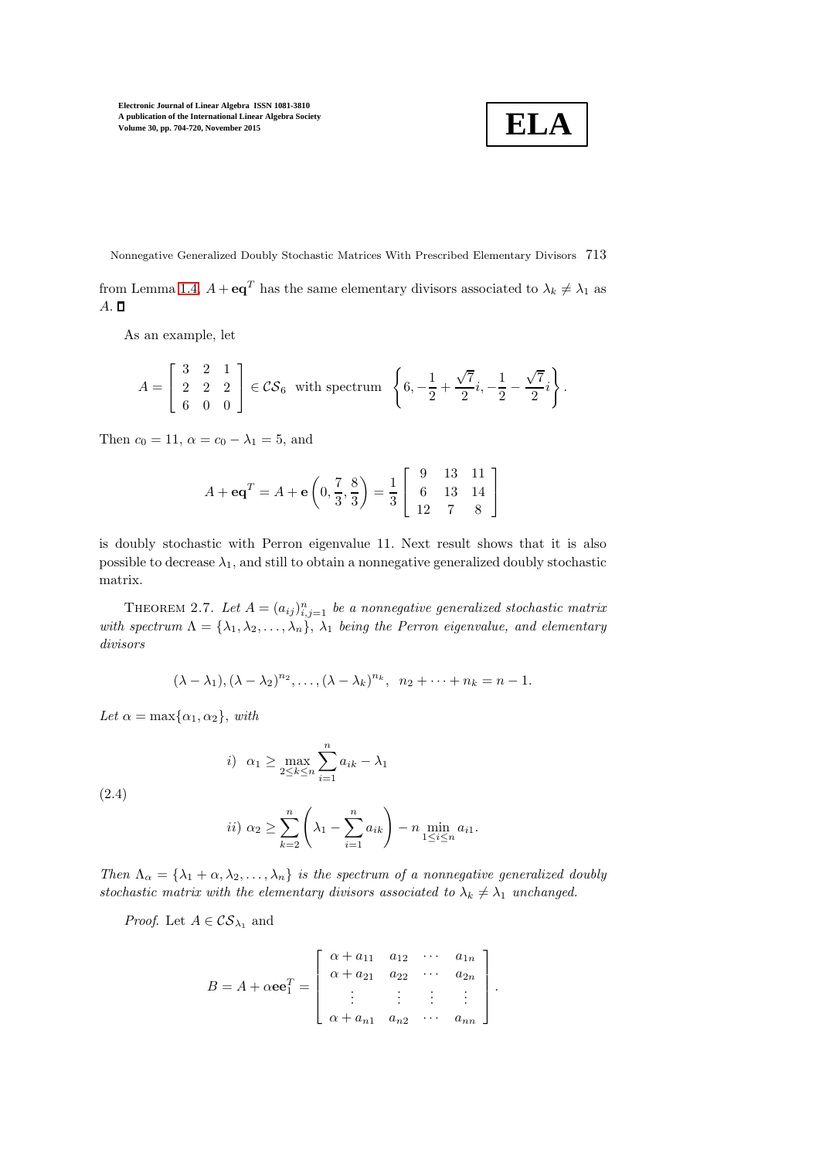$$
\boxed{\textbf{ELA}}
$$

Nonnegative Generalized Doubly Stochastic Matrices With Prescribed Elementary Divisors 713 from Lemma [1.4,](#page-2-2)  $A + \mathbf{e} \mathbf{q}^T$  has the same elementary divisors associated to  $\lambda_k \neq \lambda_1$  as  $A. \Box$ 

As an example, let

$$
A = \begin{bmatrix} 3 & 2 & 1 \\ 2 & 2 & 2 \\ 6 & 0 & 0 \end{bmatrix} \in \mathcal{CS}_6 \text{ with spectrum } \left\{ 6, -\frac{1}{2} + \frac{\sqrt{7}}{2}i, -\frac{1}{2} - \frac{\sqrt{7}}{2}i \right\}.
$$

Then  $c_0 = 11$ ,  $\alpha = c_0 - \lambda_1 = 5$ , and

$$
A + \mathbf{e}\mathbf{q}^T = A + \mathbf{e}\left(0, \frac{7}{3}, \frac{8}{3}\right) = \frac{1}{3} \left[\begin{array}{ccc} 9 & 13 & 11\\ 6 & 13 & 14\\ 12 & 7 & 8 \end{array}\right]
$$

is doubly stochastic with Perron eigenvalue 11. Next result shows that it is also possible to decrease  $\lambda_1$ , and still to obtain a nonnegative generalized doubly stochastic matrix.

THEOREM 2.7. Let  $A = (a_{ij})_{i,j=1}^n$  be a nonnegative generalized stochastic matrix *with spectrum*  $\Lambda = {\lambda_1, \lambda_2, ..., \lambda_n}$ ,  $\lambda_1$  *being the Perron eigenvalue, and elementary divisors*

$$
(\lambda - \lambda_1), (\lambda - \lambda_2)^{n_2}, \dots, (\lambda - \lambda_k)^{n_k}, n_2 + \dots + n_k = n - 1.
$$

*Let*  $\alpha = \max\{\alpha_1, \alpha_2\}$ , *with* 

<span id="page-9-0"></span>
$$
i) \ \alpha_1 \ge \max_{2 \le k \le n} \sum_{i=1}^n a_{ik} - \lambda_1
$$

(2.4)

$$
ii) \ \alpha_2 \ge \sum_{k=2}^n \left(\lambda_1 - \sum_{i=1}^n a_{ik}\right) - n \min_{1 \le i \le n} a_{i1}.
$$

*Then*  $\Lambda_{\alpha} = {\lambda_1 + \alpha, \lambda_2, ..., \lambda_n}$  *is the spectrum of a nonnegative generalized doubly stochastic matrix with the elementary divisors associated to*  $\lambda_k \neq \lambda_1$  *unchanged.* 

*Proof.* Let  $A \in \mathcal{CS}_{\lambda_1}$  and

$$
B = A + \alpha \mathbf{e} \mathbf{e}_1^T = \begin{bmatrix} \alpha + a_{11} & a_{12} & \cdots & a_{1n} \\ \alpha + a_{21} & a_{22} & \cdots & a_{2n} \\ \vdots & \vdots & \vdots & \vdots \\ \alpha + a_{n1} & a_{n2} & \cdots & a_{nn} \end{bmatrix}.
$$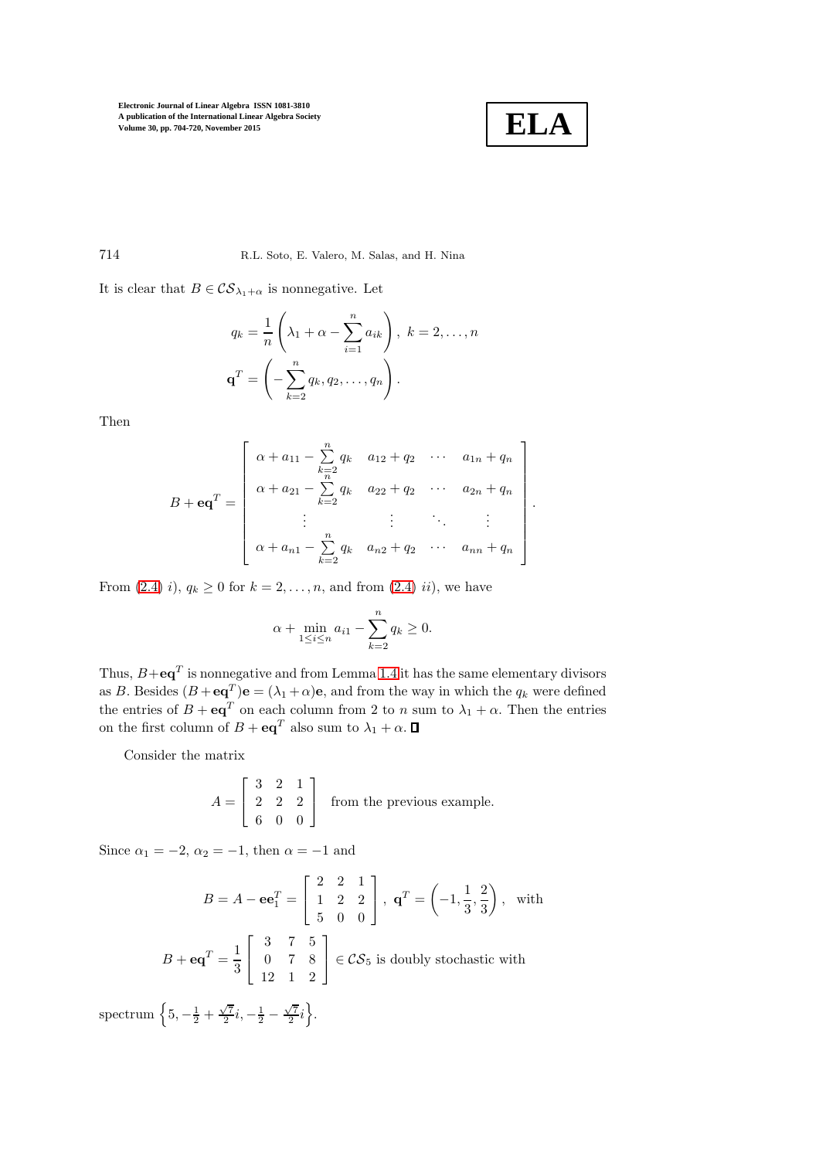

.

714 R.L. Soto, E. Valero, M. Salas, and H. Nina

It is clear that  $B \in \mathcal{CS}_{\lambda_1+\alpha}$  is nonnegative. Let

$$
q_k = \frac{1}{n} \left( \lambda_1 + \alpha - \sum_{i=1}^n a_{ik} \right), k = 2, \dots, n
$$

$$
\mathbf{q}^T = \left( -\sum_{k=2}^n q_k, q_2, \dots, q_n \right).
$$

Then

$$
B + \mathbf{e}\mathbf{q}^{T} = \begin{bmatrix} \alpha + a_{11} - \sum_{k=2}^{n} q_{k} & a_{12} + q_{2} & \cdots & a_{1n} + q_{n} \\ \alpha + a_{21} - \sum_{k=2}^{n} q_{k} & a_{22} + q_{2} & \cdots & a_{2n} + q_{n} \\ \vdots & \vdots & \ddots & \vdots \\ \alpha + a_{n1} - \sum_{k=2}^{n} q_{k} & a_{n2} + q_{2} & \cdots & a_{nn} + q_{n} \end{bmatrix}
$$

From  $(2.4)$  i),  $q_k \ge 0$  for  $k = 2, ..., n$ , and from  $(2.4)$  ii), we have

$$
\alpha + \min_{1 \le i \le n} a_{i1} - \sum_{k=2}^{n} q_k \ge 0.
$$

Thus,  $B + \mathbf{e} \mathbf{q}^T$  is nonnegative and from Lemma [1.4](#page-2-2) it has the same elementary divisors as B. Besides  $(B + \mathbf{eq}^T)\mathbf{e} = (\lambda_1 + \alpha)\mathbf{e}$ , and from the way in which the  $q_k$  were defined the entries of  $B + \mathbf{e} \mathbf{q}^T$  on each column from 2 to n sum to  $\lambda_1 + \alpha$ . Then the entries on the first column of  $B + \mathbf{e} \mathbf{q}^T$  also sum to  $\lambda_1 + \alpha$ .

Consider the matrix

$$
A = \begin{bmatrix} 3 & 2 & 1 \\ 2 & 2 & 2 \\ 6 & 0 & 0 \end{bmatrix}
$$
 from the previous example.

Since  $\alpha_1 = -2$ ,  $\alpha_2 = -1$ , then  $\alpha = -1$  and

$$
B = A - \mathbf{e}\mathbf{e}_1^T = \begin{bmatrix} 2 & 2 & 1 \\ 1 & 2 & 2 \\ 5 & 0 & 0 \end{bmatrix}, \ \mathbf{q}^T = \left(-1, \frac{1}{3}, \frac{2}{3}\right), \text{ with}
$$

$$
B + \mathbf{e}\mathbf{q}^T = \frac{1}{3} \begin{bmatrix} 3 & 7 & 5 \\ 0 & 7 & 8 \\ 12 & 1 & 2 \end{bmatrix} \in \mathcal{CS}_5 \text{ is doubly stochastic with}
$$

$$
\int_{\mathbb{R}} \begin{bmatrix} 1 & \sqrt{7}i & 1 & \sqrt{7}i \\ 1 & 2 & 1 & 2 \end{bmatrix}
$$

spectrum  $\left\{5, -\frac{1}{2} + \frac{\sqrt{7}}{2}i, -\frac{1}{2} - \right\}$  $\frac{\sqrt{7}}{2}i$ .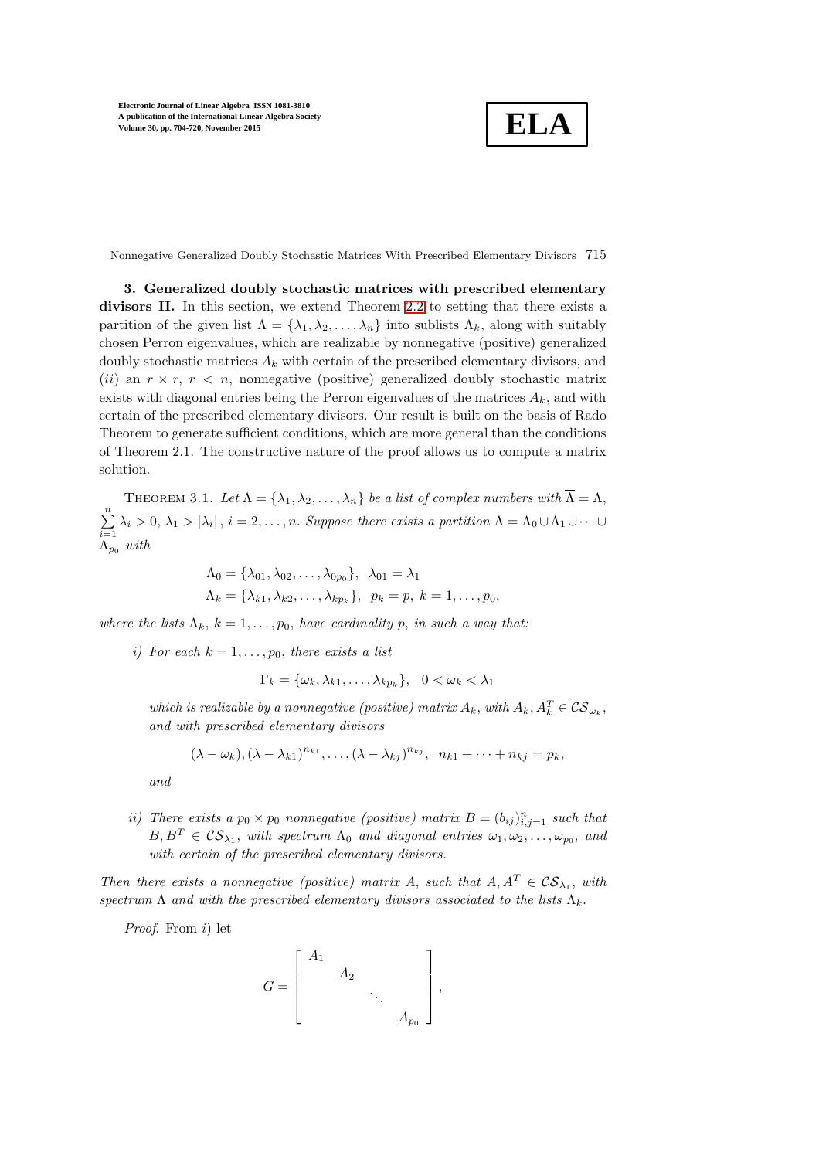$$
\boxed{\text{ELA}}
$$

Nonnegative Generalized Doubly Stochastic Matrices With Prescribed Elementary Divisors 715

3. Generalized doubly stochastic matrices with prescribed elementary divisors II. In this section, we extend Theorem [2.2](#page-5-3) to setting that there exists a partition of the given list  $\Lambda = {\lambda_1, \lambda_2, ..., \lambda_n}$  into sublists  $\Lambda_k$ , along with suitably chosen Perron eigenvalues, which are realizable by nonnegative (positive) generalized doubly stochastic matrices  $A_k$  with certain of the prescribed elementary divisors, and (ii) an  $r \times r$ ,  $r \times n$ , nonnegative (positive) generalized doubly stochastic matrix exists with diagonal entries being the Perron eigenvalues of the matrices  $A_k$ , and with certain of the prescribed elementary divisors. Our result is built on the basis of Rado Theorem to generate sufficient conditions, which are more general than the conditions of Theorem 2.1. The constructive nature of the proof allows us to compute a matrix solution.

<span id="page-11-0"></span>THEOREM 3.1. Let  $\Lambda = {\lambda_1, \lambda_2, \ldots, \lambda_n}$  be a list of complex numbers with  $\overline{\Lambda} = \Lambda$ ,  $\sum_{n=1}^{\infty}$  $\sum_{i=1} \lambda_i > 0, \lambda_1 > |\lambda_i|, i = 2, \ldots, n$ . Suppose there exists a partition  $\Lambda = \Lambda_0 \cup \Lambda_1 \cup \cdots \cup \Lambda_n$  $\Lambda_{p_0}$  *with* 

$$
\Lambda_0 = \{\lambda_{01}, \lambda_{02}, \dots, \lambda_{0p_0}\}, \quad \lambda_{01} = \lambda_1
$$
  

$$
\Lambda_k = \{\lambda_{k1}, \lambda_{k2}, \dots, \lambda_{kp_k}\}, \quad p_k = p, \quad k = 1, \dots, p_0,
$$

*where the lists*  $\Lambda_k$ ,  $k = 1, \ldots, p_0$ , *have cardinality* p, *in such a way that:* 

*i*) For each  $k = 1, \ldots, p_0$ , there exists a list

$$
\Gamma_k = \{\omega_k, \lambda_{k1}, \dots, \lambda_{kp_k}\}, \quad 0 < \omega_k < \lambda_1
$$

*which is realizable by a nonnegative (positive) matrix*  $A_k$ , *with*  $A_k$ ,  $A_k^T \in \mathcal{CS}_{\omega_k}$ , *and with prescribed elementary divisors*

$$
(\lambda - \omega_k), (\lambda - \lambda_{k1})^{n_{k1}}, \ldots, (\lambda - \lambda_{kj})^{n_{kj}}, n_{k1} + \cdots + n_{kj} = p_k,
$$

*and*

*ii)* There exists a  $p_0 \times p_0$  nonnegative (positive) matrix  $B = (b_{ij})_{i,j=1}^n$  such that  $B, B^T \in \mathcal{CS}_{\lambda_1}$ , with spectrum  $\Lambda_0$  and diagonal entries  $\omega_1, \omega_2, \ldots, \omega_{p_0}$ , and *with certain of the prescribed elementary divisors.*

*Then there exists a nonnegative (positive) matrix* A, *such that*  $A, A^T \in \mathcal{CS}_{\lambda_1}$ , *with spectrum*  $\Lambda$  *and with the prescribed elementary divisors associated to the lists*  $\Lambda_k$ .

*Proof*. From i) let

$$
G = \begin{bmatrix} A_1 & & & \\ & A_2 & & \\ & & \ddots & \\ & & & A_{p_0} \end{bmatrix},
$$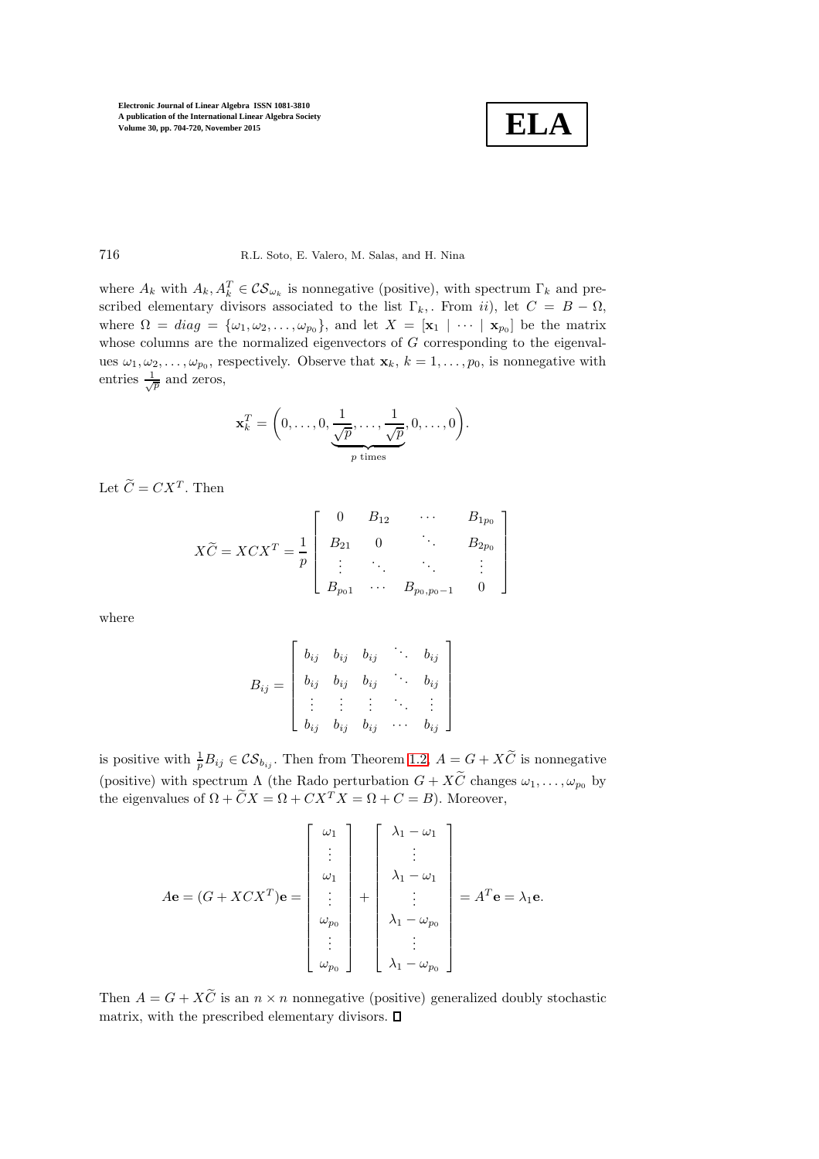$$
\boxed{\textbf{ELA}}
$$

## 716 R.L. Soto, E. Valero, M. Salas, and H. Nina

where  $A_k$  with  $A_k, A_k^T \in \mathcal{CS}_{\omega_k}$  is nonnegative (positive), with spectrum  $\Gamma_k$  and prescribed elementary divisors associated to the list  $\Gamma_k$ , From ii), let  $C = B - \Omega$ , where  $\Omega = diag = {\omega_1, \omega_2, ..., \omega_{p_0}}$ , and let  $X = [\mathbf{x}_1 | \cdots | \mathbf{x}_{p_0}]$  be the matrix whose columns are the normalized eigenvectors of  $G$  corresponding to the eigenvalues  $\omega_1, \omega_2, \ldots, \omega_{p_0}$ , respectively. Observe that  $\mathbf{x}_k, k = 1, \ldots, p_0$ , is nonnegative with entries  $\frac{1}{\sqrt{p}}$  and zeros,

$$
\mathbf{x}_k^T = \left(0, \ldots, 0, \underbrace{\frac{1}{\sqrt{p}}, \ldots, \frac{1}{\sqrt{p}}}_{p \text{ times}}, 0, \ldots, 0\right).
$$

Let  $\widetilde{C} = C X^T$ . Then

$$
X\widetilde{C} = XCX^{T} = \frac{1}{p} \begin{bmatrix} 0 & B_{12} & \cdots & B_{1p_{0}} \\ B_{21} & 0 & \ddots & B_{2p_{0}} \\ \vdots & \ddots & \ddots & \vdots \\ B_{p_{0}1} & \cdots & B_{p_{0},p_{0}-1} & 0 \end{bmatrix}
$$

where

$$
B_{ij} = \left[ \begin{array}{cccc} b_{ij} & b_{ij} & b_{ij} & \cdots & b_{ij} \\ b_{ij} & b_{ij} & b_{ij} & \cdots & b_{ij} \\ \vdots & \vdots & \vdots & \ddots & \vdots \\ b_{ij} & b_{ij} & b_{ij} & \cdots & b_{ij} \end{array} \right]
$$

is positive with  $\frac{1}{p}B_{ij} \in \mathcal{CS}_{b_{ij}}$ . Then from Theorem [1.2,](#page-2-0)  $A = G + X\tilde{C}$  is nonnegative (positive) with spectrum  $\Lambda$  (the Rado perturbation  $G + X\widetilde{C}$  changes  $\omega_1, \ldots, \omega_{p_0}$  by the eigenvalues of  $\Omega + \widetilde{C}X = \Omega + CX^T X = \Omega + C = B$ . Moreover,

$$
A\mathbf{e} = (G + XCX^{T})\mathbf{e} = \begin{bmatrix} \omega_{1} \\ \vdots \\ \omega_{1} \\ \vdots \\ \omega_{p_{0}} \\ \vdots \\ \omega_{p_{0}} \end{bmatrix} + \begin{bmatrix} \lambda_{1} - \omega_{1} \\ \vdots \\ \lambda_{1} - \omega_{1} \\ \vdots \\ \lambda_{1} - \omega_{p_{0}} \\ \vdots \\ \lambda_{1} - \omega_{p_{0}} \end{bmatrix} = A^{T}\mathbf{e} = \lambda_{1}\mathbf{e}.
$$

Then  $A = G + X\widetilde{C}$  is an  $n \times n$  nonnegative (positive) generalized doubly stochastic matrix, with the prescribed elementary divisors.  $\square$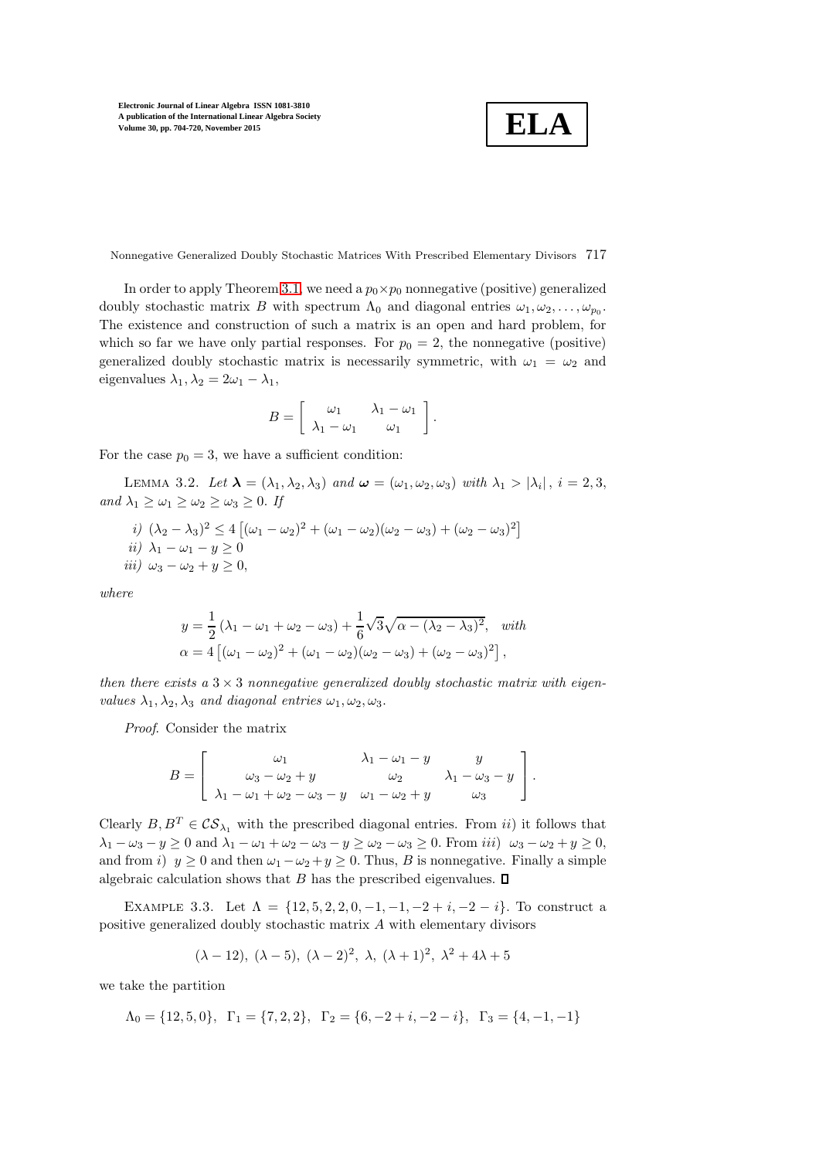$$
\boxed{\textbf{ELA}}
$$

Nonnegative Generalized Doubly Stochastic Matrices With Prescribed Elementary Divisors 717

In order to apply Theorem [3.1,](#page-11-0) we need a  $p_0 \times p_0$  nonnegative (positive) generalized doubly stochastic matrix B with spectrum  $\Lambda_0$  and diagonal entries  $\omega_1, \omega_2, \ldots, \omega_{p_0}$ . The existence and construction of such a matrix is an open and hard problem, for which so far we have only partial responses. For  $p_0 = 2$ , the nonnegative (positive) generalized doubly stochastic matrix is necessarily symmetric, with  $\omega_1 = \omega_2$  and eigenvalues  $\lambda_1, \lambda_2 = 2\omega_1 - \lambda_1$ ,

$$
B = \left[ \begin{array}{cc} \omega_1 & \lambda_1 - \omega_1 \\ \lambda_1 - \omega_1 & \omega_1 \end{array} \right].
$$

<span id="page-13-0"></span>For the case  $p_0 = 3$ , we have a sufficient condition:

LEMMA 3.2. Let  $\lambda = (\lambda_1, \lambda_2, \lambda_3)$  and  $\boldsymbol{\omega} = (\omega_1, \omega_2, \omega_3)$  with  $\lambda_1 > |\lambda_i|$ ,  $i = 2, 3$ , *and*  $\lambda_1 \geq \omega_1 \geq \omega_2 \geq \omega_3 \geq 0$ . If

*i)* 
$$
(\lambda_2 - \lambda_3)^2 \le 4 [(\omega_1 - \omega_2)^2 + (\omega_1 - \omega_2)(\omega_2 - \omega_3) + (\omega_2 - \omega_3)^2]
$$
  
*ii)*  $\lambda_1 - \omega_1 - y \ge 0$   
*iii)*  $\omega_3 - \omega_2 + y > 0$ ,

*where*

$$
y = \frac{1}{2} (\lambda_1 - \omega_1 + \omega_2 - \omega_3) + \frac{1}{6} \sqrt{3} \sqrt{\alpha - (\lambda_2 - \lambda_3)^2}, \text{ with}
$$
  

$$
\alpha = 4 [(\omega_1 - \omega_2)^2 + (\omega_1 - \omega_2)(\omega_2 - \omega_3) + (\omega_2 - \omega_3)^2],
$$

*then there exists a* 3 × 3 *nonnegative generalized doubly stochastic matrix with eigenvalues*  $\lambda_1, \lambda_2, \lambda_3$  *and diagonal entries*  $\omega_1, \omega_2, \omega_3$ .

*Proof*. Consider the matrix

$$
B = \left[\begin{array}{ccc} \omega_1 & \lambda_1 - \omega_1 - y & y \\ \omega_3 - \omega_2 + y & \omega_2 & \lambda_1 - \omega_3 - y \\ \lambda_1 - \omega_1 + \omega_2 - \omega_3 - y & \omega_1 - \omega_2 + y & \omega_3 \end{array}\right].
$$

Clearly  $B, B^T \in \mathcal{CS}_{\lambda_1}$  with the prescribed diagonal entries. From ii) it follows that  $\lambda_1 - \omega_3 - y \ge 0$  and  $\lambda_1 - \omega_1 + \omega_2 - \omega_3 - y \ge \omega_2 - \omega_3 \ge 0$ . From iii)  $\omega_3 - \omega_2 + y \ge 0$ , and from i)  $y \ge 0$  and then  $\omega_1 - \omega_2 + y \ge 0$ . Thus, B is nonnegative. Finally a simple algebraic calculation shows that  $B$  has the prescribed eigenvalues.  $\square$ 

EXAMPLE 3.3. Let  $\Lambda = \{12, 5, 2, 2, 0, -1, -1, -2 + i, -2 - i\}$ . To construct a positive generalized doubly stochastic matrix A with elementary divisors

$$
(\lambda - 12), (\lambda - 5), (\lambda - 2)^2, \lambda, (\lambda + 1)^2, \lambda^2 + 4\lambda + 5
$$

we take the partition

 $\Lambda_0 = \{12, 5, 0\}, \quad \Gamma_1 = \{7, 2, 2\}, \quad \Gamma_2 = \{6, -2 + i, -2 - i\}, \quad \Gamma_3 = \{4, -1, -1\}$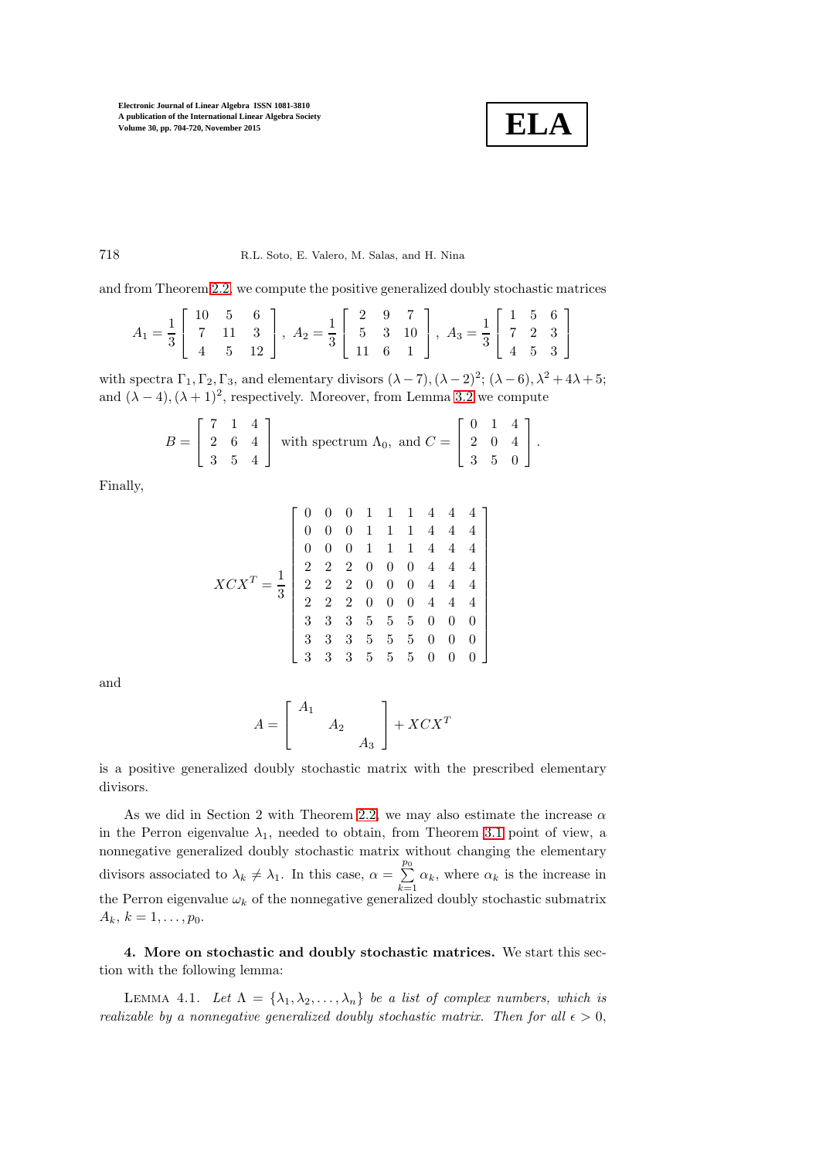$$
\boxed{\textbf{ELA}}
$$

### 718 R.L. Soto, E. Valero, M. Salas, and H. Nina

and from Theorem [2.2,](#page-5-3) we compute the positive generalized doubly stochastic matrices

$$
A_1 = \frac{1}{3} \begin{bmatrix} 10 & 5 & 6 \\ 7 & 11 & 3 \\ 4 & 5 & 12 \end{bmatrix}, A_2 = \frac{1}{3} \begin{bmatrix} 2 & 9 & 7 \\ 5 & 3 & 10 \\ 11 & 6 & 1 \end{bmatrix}, A_3 = \frac{1}{3} \begin{bmatrix} 1 & 5 & 6 \\ 7 & 2 & 3 \\ 4 & 5 & 3 \end{bmatrix}
$$

with spectra  $\Gamma_1, \Gamma_2, \Gamma_3$ , and elementary divisors  $(\lambda - 7), (\lambda - 2)^2; (\lambda - 6), \lambda^2 + 4\lambda + 5;$ and  $(\lambda - 4)$ ,  $(\lambda + 1)^2$ , respectively. Moreover, from Lemma [3.2](#page-13-0) we compute

$$
B = \begin{bmatrix} 7 & 1 & 4 \\ 2 & 6 & 4 \\ 3 & 5 & 4 \end{bmatrix}
$$
 with spectrum  $\Lambda_0$ , and  $C = \begin{bmatrix} 0 & 1 & 4 \\ 2 & 0 & 4 \\ 3 & 5 & 0 \end{bmatrix}$ .

Finally,

$$
XCXT = \frac{1}{3} \begin{bmatrix} 0 & 0 & 0 & 1 & 1 & 1 & 4 & 4 & 4 \\ 0 & 0 & 0 & 1 & 1 & 1 & 4 & 4 & 4 \\ 0 & 0 & 0 & 1 & 1 & 1 & 4 & 4 & 4 \\ 2 & 2 & 2 & 0 & 0 & 0 & 4 & 4 & 4 \\ 2 & 2 & 2 & 0 & 0 & 0 & 4 & 4 & 4 \\ 2 & 2 & 2 & 0 & 0 & 0 & 4 & 4 & 4 \\ 3 & 3 & 3 & 5 & 5 & 5 & 0 & 0 & 0 \\ 3 & 3 & 3 & 5 & 5 & 5 & 0 & 0 & 0 \\ 3 & 3 & 3 & 5 & 5 & 5 & 0 & 0 & 0 \end{bmatrix}
$$

and

$$
A = \begin{bmatrix} A_1 & & \\ & A_2 & \\ & & A_3 \end{bmatrix} + XCX^T
$$

is a positive generalized doubly stochastic matrix with the prescribed elementary divisors.

As we did in Section 2 with Theorem [2.2,](#page-5-3) we may also estimate the increase  $\alpha$ in the Perron eigenvalue  $\lambda_1$ , needed to obtain, from Theorem [3.1](#page-11-0) point of view, a nonnegative generalized doubly stochastic matrix without changing the elementary divisors associated to  $\lambda_k \neq \lambda_1$ . In this case,  $\alpha = \sum_{k=1}^{p_0}$  $\sum_{k=1} \alpha_k$ , where  $\alpha_k$  is the increase in the Perron eigenvalue  $\omega_k$  of the nonnegative generalized doubly stochastic submatrix  $A_k, k = 1, \ldots, p_0.$ 

4. More on stochastic and doubly stochastic matrices. We start this section with the following lemma:

LEMMA 4.1. Let  $\Lambda = {\lambda_1, \lambda_2, ..., \lambda_n}$  be a list of complex numbers, which is *realizable by a nonnegative generalized doubly stochastic matrix. Then for all*  $\epsilon > 0$ ,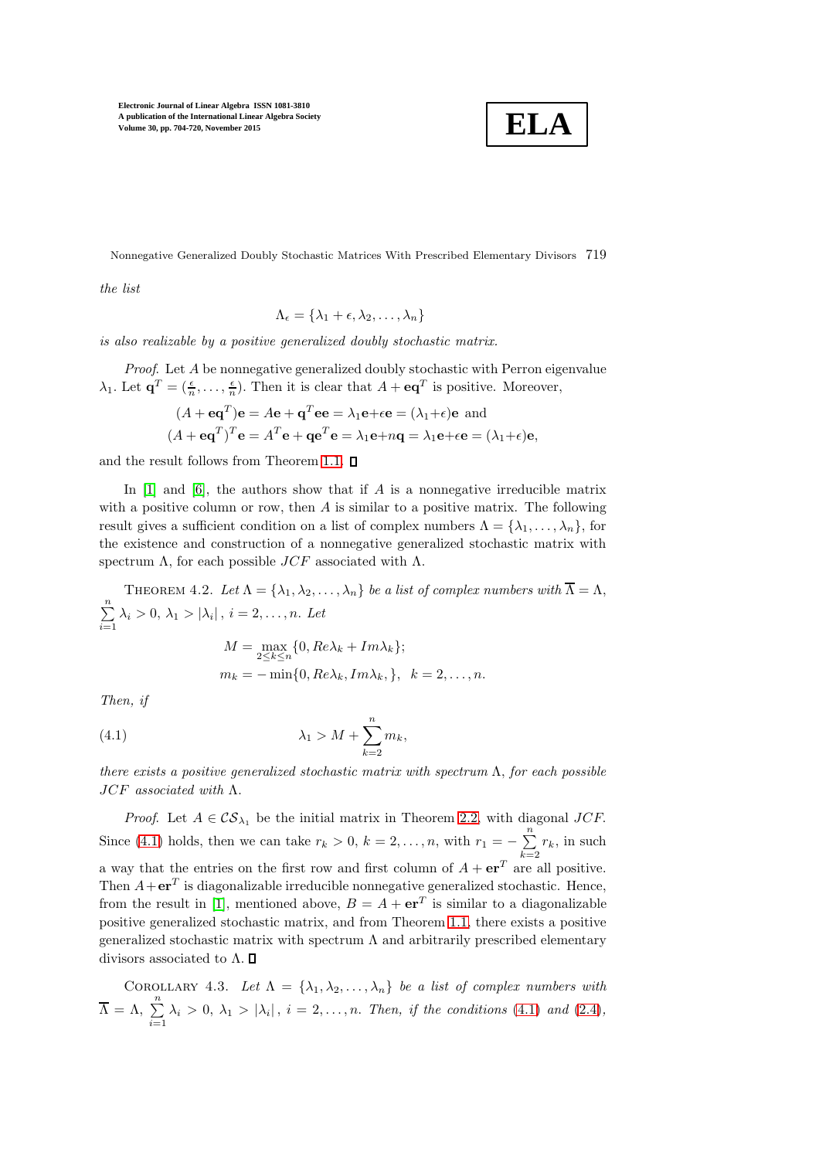

Nonnegative Generalized Doubly Stochastic Matrices With Prescribed Elementary Divisors 719

*the list*

$$
\Lambda_{\epsilon} = \{\lambda_1 + \epsilon, \lambda_2, \ldots, \lambda_n\}
$$

*is also realizable by a positive generalized doubly stochastic matrix.*

*Proof*. Let A be nonnegative generalized doubly stochastic with Perron eigenvalue  $\lambda_1$ . Let  $\mathbf{q}^T = (\frac{\epsilon}{n}, \dots, \frac{\epsilon}{n})$ . Then it is clear that  $A + \mathbf{e}\mathbf{q}^T$  is positive. Moreover,

$$
(A + \mathbf{e}\mathbf{q}^T)\mathbf{e} = A\mathbf{e} + \mathbf{q}^T \mathbf{e}\mathbf{e} = \lambda_1 \mathbf{e} + \epsilon \mathbf{e} = (\lambda_1 + \epsilon)\mathbf{e} \text{ and}
$$

$$
(A + \mathbf{e}\mathbf{q}^T)^T \mathbf{e} = A^T \mathbf{e} + \mathbf{q}\mathbf{e}^T \mathbf{e} = \lambda_1 \mathbf{e} + n\mathbf{q} = \lambda_1 \mathbf{e} + \epsilon \mathbf{e} = (\lambda_1 + \epsilon)\mathbf{e},
$$

and the result follows from Theorem [1.1.](#page-1-0)  $\square$ 

In  $[1]$  and  $[6]$ , the authors show that if A is a nonnegative irreducible matrix with a positive column or row, then  $A$  is similar to a positive matrix. The following result gives a sufficient condition on a list of complex numbers  $\Lambda = {\lambda_1, \ldots, \lambda_n}$ , for the existence and construction of a nonnegative generalized stochastic matrix with spectrum  $\Lambda$ , for each possible  $JCF$  associated with  $\Lambda$ .

<span id="page-15-1"></span>THEOREM 4.2. Let  $\Lambda = {\lambda_1, \lambda_2, \ldots, \lambda_n}$  be a list of complex numbers with  $\overline{\Lambda} = \Lambda$ ,  $\sum_{n=1}^{\infty}$  $\sum_{i=1} \lambda_i > 0, \, \lambda_1 > |\lambda_i|, \, i = 2, \dots, n.$  Let

<span id="page-15-0"></span>
$$
M = \max_{2 \le k \le n} \{0, Re\lambda_k + Im\lambda_k\};
$$
  

$$
m_k = -\min\{0, Re\lambda_k, Im\lambda_k, \}, \quad k = 2, \dots, n.
$$

*Then, if*

$$
\lambda_1 > M + \sum_{k=2}^n m_k,
$$

*there exists a positive generalized stochastic matrix with spectrum* Λ, *for each possible* JCF *associated with* Λ.

*Proof.* Let  $A \in \mathcal{CS}_{\lambda_1}$  be the initial matrix in Theorem [2.2,](#page-5-3) with diagonal JCF. Since [\(4.1\)](#page-15-0) holds, then we can take  $r_k > 0$ ,  $k = 2, \ldots, n$ , with  $r_1 = -\sum_{k=1}^{n}$  $\sum_{k=2} r_k$ , in such a way that the entries on the first row and first column of  $A + e^{T}$  are all positive. Then  $A + \mathbf{er}^T$  is diagonalizable irreducible nonnegative generalized stochastic. Hence, from the result in [\[1\]](#page-16-15), mentioned above,  $B = A + \mathbf{er}^T$  is similar to a diagonalizable positive generalized stochastic matrix, and from Theorem [1.1,](#page-1-0) there exists a positive generalized stochastic matrix with spectrum  $\Lambda$  and arbitrarily prescribed elementary divisors associated to  $\Lambda$ .  $\square$ 

COROLLARY 4.3. Let 
$$
\Lambda = {\lambda_1, \lambda_2, ..., \lambda_n}
$$
 be a list of complex numbers with  $\overline{\Lambda} = \Lambda$ ,  $\sum_{i=1}^{n} \lambda_i > 0$ ,  $\lambda_1 > |\lambda_i|$ ,  $i = 2, ..., n$ . Then, if the conditions (4.1) and (2.4),